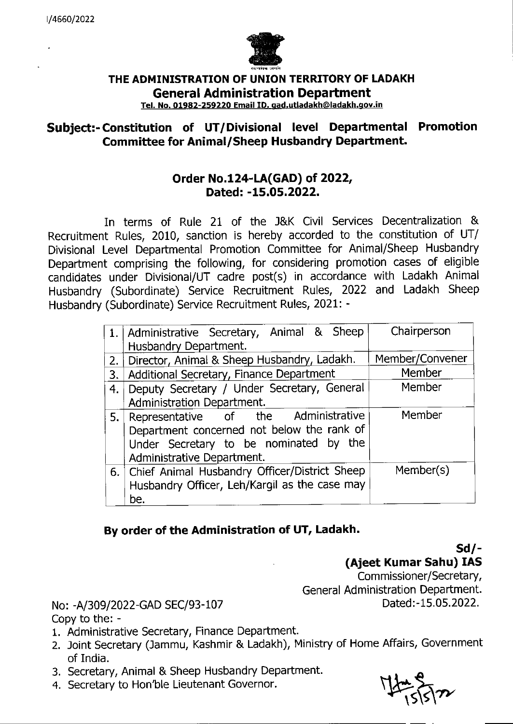

## THE ADMINISTRATION OF UNION TERRITORY OF LADAKH **General Administration Department**

Tel. No. 01982-259220 Email ID. gad.utladakh@ladakh.gov.in

## **Subject:- Constitution of UT/Divisional level Departmental Promotion Committee for Animal/Sheep Husbandry Department.**

## **Order No.124-LA(GAD) of 2022, Dated: -15.05.2022.**

In terms of Rule 21 of the J&K Civil Services Decentralization & Recruitment Rules, 2010, sanction is hereby accorded to the constitution of UT/ Divisional Level Departmental Promotion Committee for Animal/Sheep Husbandry Department comprising the following, for considering promotion cases of eligible candidates under Divisional/UT cadre post(s) in accordance with Ladakh Animal Husbandry (Subordinate) Service Recruitment Rules, 2022 and Ladakh Sheep Husbandry (Subordinate) Service Recruitment Rules, 2021: -

|     | 1.   Administrative Secretary, Animal & Sheep<br>Husbandry Department.                                                                                     | Chairperson     |
|-----|------------------------------------------------------------------------------------------------------------------------------------------------------------|-----------------|
| 2.  | Director, Animal & Sheep Husbandry, Ladakh.                                                                                                                | Member/Convener |
| 3.  | Additional Secretary, Finance Department                                                                                                                   | Member          |
| 4.  | Deputy Secretary / Under Secretary, General                                                                                                                | Member          |
|     | Administration Department.                                                                                                                                 |                 |
| 5.1 | Representative of the Administrative<br>Department concerned not below the rank of<br>Under Secretary to be nominated by the<br>Administrative Department. | Member          |
|     | 6. Chief Animal Husbandry Officer/District Sheep<br>Husbandry Officer, Leh/Kargil as the case may<br>be.                                                   | Member(s)       |

## By order of the Administration of UT, Ladakh.

**Sd/- (Ajeet Kumar Sahu) lAS** 

Commissioner/Secretary, General Administration Department.

No: -A/309/2022-GAD SEC/93-107 Dated:-15.05.2022. Copy to the: -

- 1. Administrative Secretary, Finance Department.
- 2. Joint Secretary (Jammu, Kashmir & Ladakh), Ministry of Home Affairs, Government of India.
- 3. Secretary, Animal & Sheep Husbandry Department.
- 4. Secretary to Hon'ble Lieutenant Governor.